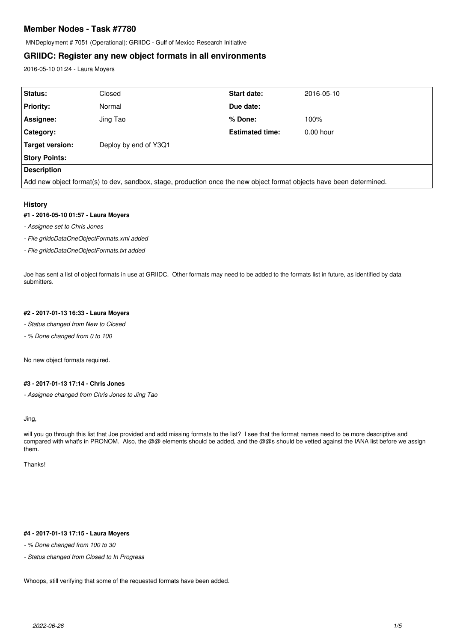# **Member Nodes - Task #7780**

MNDeployment # 7051 (Operational): GRIIDC - Gulf of Mexico Research Initiative

# **GRIIDC: Register any new object formats in all environments**

2016-05-10 01:24 - Laura Moyers

| Status:                                                                                                              | Closed                | <b>Start date:</b>     | 2016-05-10  |  |
|----------------------------------------------------------------------------------------------------------------------|-----------------------|------------------------|-------------|--|
| <b>Priority:</b>                                                                                                     | Normal                | Due date:              |             |  |
| Assignee:                                                                                                            | Jing Tao              | % Done:                | 100%        |  |
| <b>Category:</b>                                                                                                     |                       | <b>Estimated time:</b> | $0.00$ hour |  |
| Target version:                                                                                                      | Deploy by end of Y3Q1 |                        |             |  |
| <b>Story Points:</b>                                                                                                 |                       |                        |             |  |
| <b>Description</b>                                                                                                   |                       |                        |             |  |
| Add new object format(s) to dev, sandbox, stage, production once the new object format objects have been determined. |                       |                        |             |  |

#### **History**

## **#1 - 2016-05-10 01:57 - Laura Moyers**

*- Assignee set to Chris Jones*

*- File griidcDataOneObjectFormats.xml added*

*- File griidcDataOneObjectFormats.txt added*

Joe has sent a list of object formats in use at GRIIDC. Other formats may need to be added to the formats list in future, as identified by data submitters.

#### **#2 - 2017-01-13 16:33 - Laura Moyers**

- *Status changed from New to Closed*
- *% Done changed from 0 to 100*

No new object formats required.

### **#3 - 2017-01-13 17:14 - Chris Jones**

*- Assignee changed from Chris Jones to Jing Tao*

Jing,

will you go through this list that Joe provided and add missing formats to the list? I see that the format names need to be more descriptive and compared with what's in PRONOM. Also, the @@ elements should be added, and the @@s should be vetted against the IANA list before we assign them.

Thanks!

## **#4 - 2017-01-13 17:15 - Laura Moyers**

*- % Done changed from 100 to 30*

*- Status changed from Closed to In Progress*

Whoops, still verifying that some of the requested formats have been added.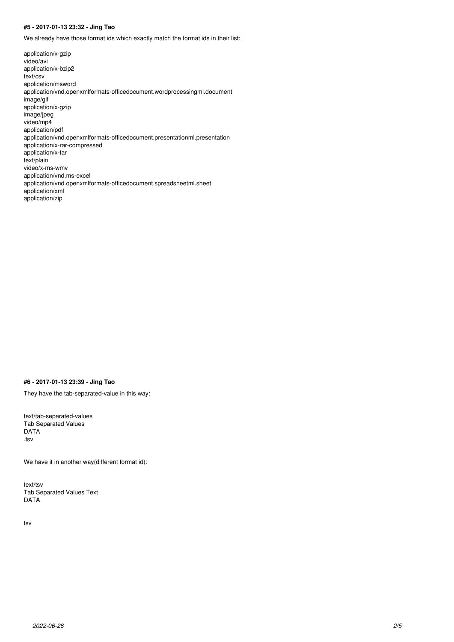## **#5 - 2017-01-13 23:32 - Jing Tao**

We already have those format ids which exactly match the format ids in their list:

application/x-gzip video/avi application/x-bzip2 text/csv application/msword application/vnd.openxmlformats-officedocument.wordprocessingml.document image/gif application/x-gzip image/jpeg video/mp4 application/pdf application/vnd.openxmlformats-officedocument.presentationml.presentation application/x-rar-compressed application/x-tar text/plain video/x-ms-wmv application/vnd.ms-excel application/vnd.openxmlformats-officedocument.spreadsheetml.sheet application/xml application/zip

#### **#6 - 2017-01-13 23:39 - Jing Tao**

They have the tab-separated-value in this way:

text/tab-separated-values Tab Separated Values DATA .tsv

We have it in another way(different format id):

text/tsv Tab Separated Values Text DATA

tsv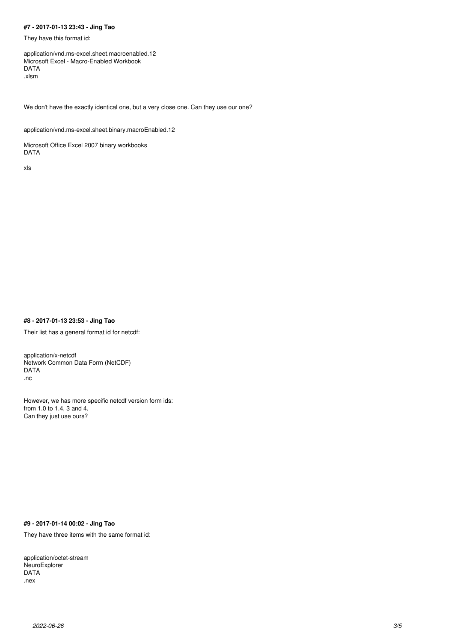## **#7 - 2017-01-13 23:43 - Jing Tao**

They have this format id:

application/vnd.ms-excel.sheet.macroenabled.12 Microsoft Excel - Macro-Enabled Workbook DATA .xlsm

We don't have the exactly identical one, but a very close one. Can they use our one?

application/vnd.ms-excel.sheet.binary.macroEnabled.12

Microsoft Office Excel 2007 binary workbooks DATA

xls

### **#8 - 2017-01-13 23:53 - Jing Tao**

Their list has a general format id for netcdf:

application/x-netcdf Network Common Data Form (NetCDF) DATA .nc

However, we has more specific netcdf version form ids: from 1.0 to 1.4, 3 and 4. Can they just use ours?

## **#9 - 2017-01-14 00:02 - Jing Tao**

They have three items with the same format id:

application/octet-stream NeuroExplorer DATA .nex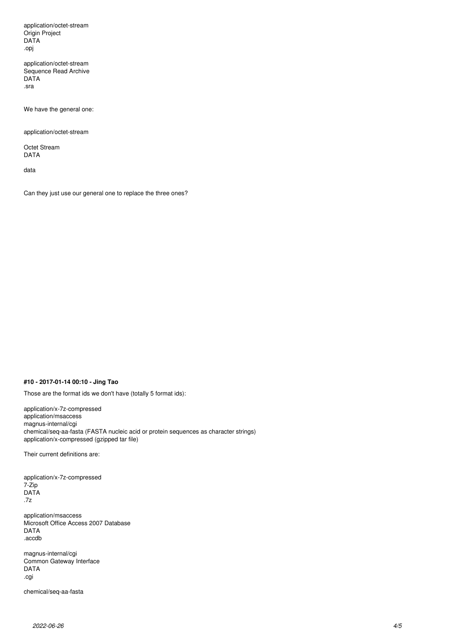application/octet-stream Origin Project DATA .opj

application/octet-stream Sequence Read Archive DATA .sra

We have the general one:

application/octet-stream

Octet Stream DATA

data

Can they just use our general one to replace the three ones?

## **#10 - 2017-01-14 00:10 - Jing Tao**

Those are the format ids we don't have (totally 5 format ids):

application/x-7z-compressed application/msaccess magnus-internal/cgi chemical/seq-aa-fasta (FASTA nucleic acid or protein sequences as character strings) application/x-compressed (gzipped tar file)

Their current definitions are:

application/x-7z-compressed 7-Zip DATA .7z

application/msaccess Microsoft Office Access 2007 Database DATA .accdb

magnus-internal/cgi Common Gateway Interface DATA .cgi

chemical/seq-aa-fasta